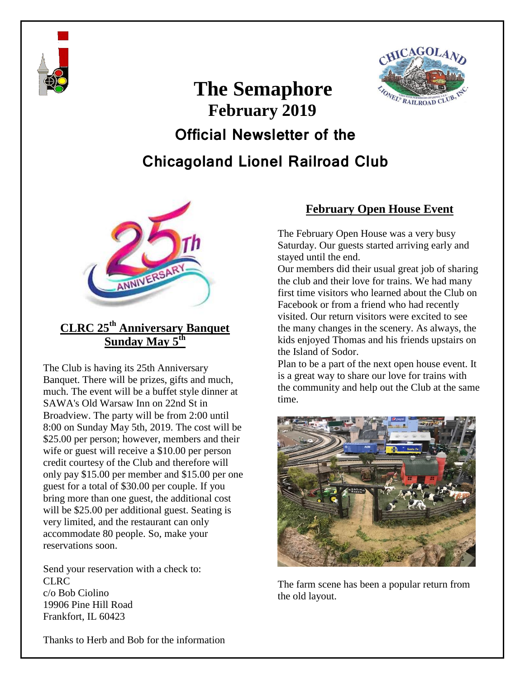

# **The Semaphore February 2019**



# **Official Newsletter of the**

# **Chicagoland Lionel Railroad Club**



## **CLRC 25th Anniversary Banquet Sunday May 5th**

The Club is having its 25th Anniversary Banquet. There will be prizes, gifts and much, much. The event will be a buffet style dinner at SAWA's Old Warsaw Inn on 22nd St in Broadview. The party will be from 2:00 until 8:00 on Sunday May 5th, 2019. The cost will be \$25.00 per person; however, members and their wife or guest will receive a \$10.00 per person credit courtesy of the Club and therefore will only pay \$15.00 per member and \$15.00 per one guest for a total of \$30.00 per couple. If you bring more than one guest, the additional cost will be \$25.00 per additional guest. Seating is very limited, and the restaurant can only accommodate 80 people. So, make your reservations soon.

Send your reservation with a check to: CLRC c/o Bob Ciolino 19906 Pine Hill Road Frankfort, IL 60423

### **February Open House Event**

The February Open House was a very busy Saturday. Our guests started arriving early and stayed until the end.

Our members did their usual great job of sharing the club and their love for trains. We had many first time visitors who learned about the Club on Facebook or from a friend who had recently visited. Our return visitors were excited to see the many changes in the scenery. As always, the kids enjoyed Thomas and his friends upstairs on the Island of Sodor.

Plan to be a part of the next open house event. It is a great way to share our love for trains with the community and help out the Club at the same time.



The farm scene has been a popular return from the old layout.

Thanks to Herb and Bob for the information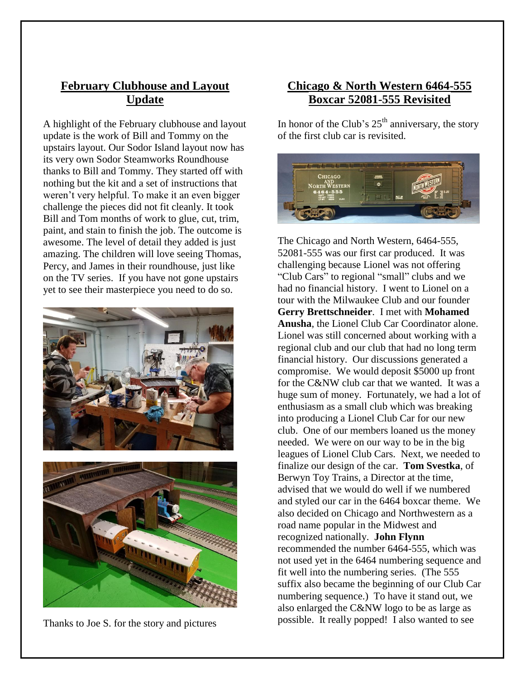### **February Clubhouse and Layout Update**

A highlight of the February clubhouse and layout update is the work of Bill and Tommy on the upstairs layout. Our Sodor Island layout now has its very own Sodor Steamworks Roundhouse thanks to Bill and Tommy. They started off with nothing but the kit and a set of instructions that weren't very helpful. To make it an even bigger challenge the pieces did not fit cleanly. It took Bill and Tom months of work to glue, cut, trim, paint, and stain to finish the job. The outcome is awesome. The level of detail they added is just amazing. The children will love seeing Thomas, Percy, and James in their roundhouse, just like on the TV series. If you have not gone upstairs yet to see their masterpiece you need to do so.





Thanks to Joe S. for the story and pictures

#### **Chicago & North Western 6464-555 Boxcar 52081-555 Revisited**

In honor of the Club's  $25<sup>th</sup>$  anniversary, the story of the first club car is revisited.



The Chicago and North Western, 6464-555, 52081-555 was our first car produced. It was challenging because Lionel was not offering "Club Cars" to regional "small" clubs and we had no financial history. I went to Lionel on a tour with the Milwaukee Club and our founder **Gerry Brettschneider**. I met with **Mohamed Anusha**, the Lionel Club Car Coordinator alone. Lionel was still concerned about working with a regional club and our club that had no long term financial history. Our discussions generated a compromise. We would deposit \$5000 up front for the C&NW club car that we wanted. It was a huge sum of money. Fortunately, we had a lot of enthusiasm as a small club which was breaking into producing a Lionel Club Car for our new club. One of our members loaned us the money needed. We were on our way to be in the big leagues of Lionel Club Cars. Next, we needed to finalize our design of the car. **Tom Svestka**, of Berwyn Toy Trains, a Director at the time, advised that we would do well if we numbered and styled our car in the 6464 boxcar theme. We also decided on Chicago and Northwestern as a road name popular in the Midwest and recognized nationally. **John Flynn** recommended the number 6464-555, which was not used yet in the 6464 numbering sequence and fit well into the numbering series. (The 555 suffix also became the beginning of our Club Car numbering sequence.) To have it stand out, we also enlarged the C&NW logo to be as large as possible. It really popped! I also wanted to see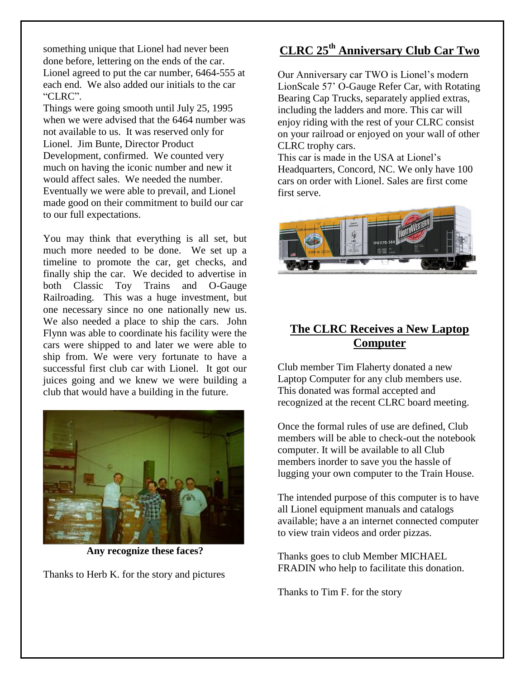something unique that Lionel had never been done before, lettering on the ends of the car. Lionel agreed to put the car number, 6464-555 at each end. We also added our initials to the car "CLRC".

Things were going smooth until July 25, 1995 when we were advised that the 6464 number was not available to us. It was reserved only for Lionel. Jim Bunte, Director Product Development, confirmed. We counted very much on having the iconic number and new it would affect sales. We needed the number. Eventually we were able to prevail, and Lionel made good on their commitment to build our car to our full expectations.

You may think that everything is all set, but much more needed to be done. We set up a timeline to promote the car, get checks, and finally ship the car. We decided to advertise in both Classic Toy Trains and O-Gauge Railroading. This was a huge investment, but one necessary since no one nationally new us. We also needed a place to ship the cars. John Flynn was able to coordinate his facility were the cars were shipped to and later we were able to ship from. We were very fortunate to have a successful first club car with Lionel. It got our juices going and we knew we were building a club that would have a building in the future.



**Any recognize these faces?**

Thanks to Herb K. for the story and pictures

## **CLRC 25th Anniversary Club Car Two**

Our Anniversary car TWO is Lionel's modern LionScale 57' O-Gauge Refer Car, with Rotating Bearing Cap Trucks, separately applied extras, including the ladders and more. This car will enjoy riding with the rest of your CLRC consist on your railroad or enjoyed on your wall of other CLRC trophy cars.

This car is made in the USA at Lionel's Headquarters, Concord, NC. We only have 100 cars on order with Lionel. Sales are first come first serve.



### **The CLRC Receives a New Laptop Computer**

Club member Tim Flaherty donated a new Laptop Computer for any club members use. This donated was formal accepted and recognized at the recent CLRC board meeting.

Once the formal rules of use are defined, Club members will be able to check-out the notebook computer. It will be available to all Club members inorder to save you the hassle of lugging your own computer to the Train House.

The intended purpose of this computer is to have all Lionel equipment manuals and catalogs available; have a an internet connected computer to view train videos and order pizzas.

Thanks goes to club Member MICHAEL FRADIN who help to facilitate this donation.

Thanks to Tim F. for the story